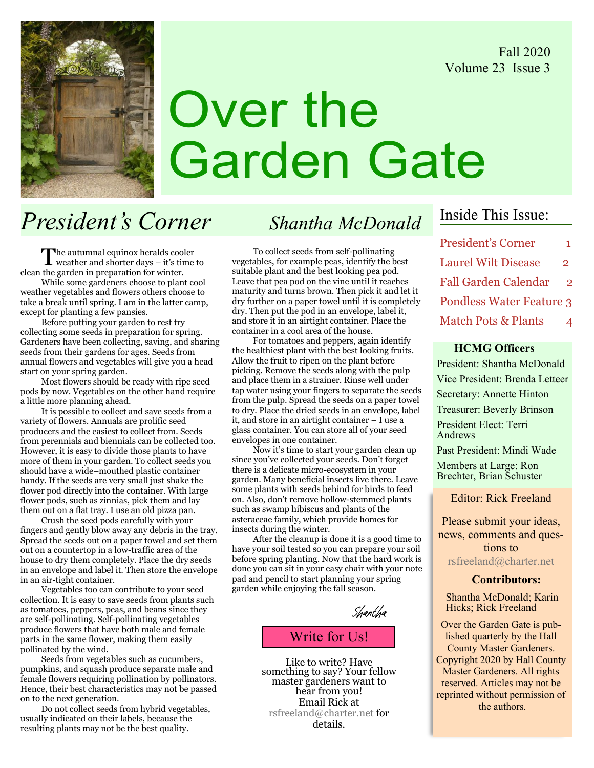Fall 2020 Volume 23 Issue 3



# Over the Garden Gate

# President's Corner Shantha McDonald

The autumnal equinox heralds cooler<br>weather and shorter days – it's time to clean the garden in preparation for winter.

While some gardeners choose to plant cool weather vegetables and flowers others choose to take a break until spring. I am in the latter camp, except for planting a few pansies.

Before putting your garden to rest try collecting some seeds in preparation for spring. Gardeners have been collecting, saving, and sharing seeds from their gardens for ages. Seeds from annual flowers and vegetables will give you a head start on your spring garden.

Most flowers should be ready with ripe seed pods by now. Vegetables on the other hand require a little more planning ahead.

It is possible to collect and save seeds from a variety of flowers. Annuals are prolific seed producers and the easiest to collect from. Seeds from perennials and biennials can be collected too. However, it is easy to divide those plants to have more of them in your garden. To collect seeds you should have a wide–mouthed plastic container handy. If the seeds are very small just shake the flower pod directly into the container. With large flower pods, such as zinnias, pick them and lay them out on a flat tray. I use an old pizza pan.

Crush the seed pods carefully with your fingers and gently blow away any debris in the tray. Spread the seeds out on a paper towel and set them out on a countertop in a low-traffic area of the house to dry them completely. Place the dry seeds in an envelope and label it. Then store the envelope in an air-tight container.

Vegetables too can contribute to your seed collection. It is easy to save seeds from plants such as tomatoes, peppers, peas, and beans since they are self-pollinating. Self-pollinating vegetables produce flowers that have both male and female parts in the same flower, making them easily pollinated by the wind.

Seeds from vegetables such as cucumbers, pumpkins, and squash produce separate male and female flowers requiring pollination by pollinators. Hence, their best characteristics may not be passed on to the next generation.

Do not collect seeds from hybrid vegetables, usually indicated on their labels, because the resulting plants may not be the best quality.

To collect seeds from self-pollinating vegetables, for example peas, identify the best suitable plant and the best looking pea pod. Leave that pea pod on the vine until it reaches maturity and turns brown. Then pick it and let it dry further on a paper towel until it is completely dry. Then put the pod in an envelope, label it, and store it in an airtight container. Place the container in a cool area of the house.

For tomatoes and peppers, again identify the healthiest plant with the best looking fruits. Allow the fruit to ripen on the plant before picking. Remove the seeds along with the pulp and place them in a strainer. Rinse well under tap water using your fingers to separate the seeds from the pulp. Spread the seeds on a paper towel to dry. Place the dried seeds in an envelope, label it, and store in an airtight container – I use a glass container. You can store all of your seed envelopes in one container.

Now it's time to start your garden clean up since you've collected your seeds. Don't forget there is a delicate micro-ecosystem in your garden. Many beneficial insects live there. Leave some plants with seeds behind for birds to feed on. Also, don't remove hollow-stemmed plants such as swamp hibiscus and plants of the asteraceae family, which provide homes for insects during the winter.

After the cleanup is done it is a good time to have your soil tested so you can prepare your soil before spring planting. Now that the hard work is done you can sit in your easy chair with your note pad and pencil to start planning your spring garden while enjoying the fall season.

Write for Us! Shantha

Like to write? Have something to say? Your fellow master gardeners want to hear from you! Email Rick at rsfreeland@charter.net for details.

### Inside This Issue:

President's Corner 1 Laurel Wilt Disease 2 Fall Garden Calendar 2 Pondless Water Feature 3 Match Pots & Plants

### HCMG Officers

President: Shantha McDonald Vice President: Brenda Letteer Secretary: Annette Hinton Treasurer: Beverly Brinson President Elect: Terri Andrews

Past President: Mindi Wade

Members at Large: Ron Brechter, Brian Schuster

Editor: Rick Freeland

Please submit your ideas, news, comments and questions to rsfreeland@charter.net

### Contributors:

Shantha McDonald; Karin Hicks; Rick Freeland

Over the Garden Gate is published quarterly by the Hall County Master Gardeners. Copyright 2020 by Hall County Master Gardeners. All rights reserved. Articles may not be reprinted without permission of the authors.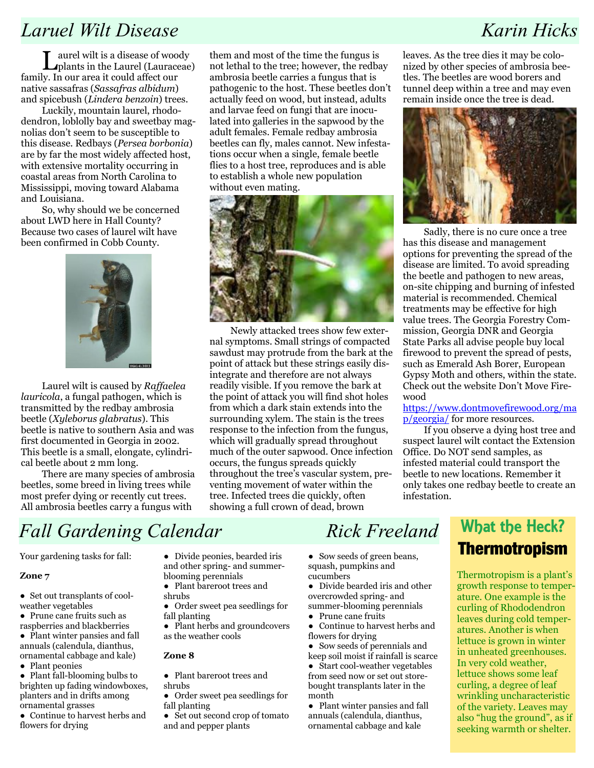### Laruel Wilt Disease Karin Hicks

Laurel wilt is a disease of woody plants in the Laurel (Lauraceae) family. In our area it could affect our native sassafras (Sassafras albidum) and spicebush (Lindera benzoin) trees.

Luckily, mountain laurel, rhododendron, loblolly bay and sweetbay magnolias don't seem to be susceptible to this disease. Redbays (Persea borbonia) are by far the most widely affected host, with extensive mortality occurring in coastal areas from North Carolina to Mississippi, moving toward Alabama and Louisiana.

So, why should we be concerned about LWD here in Hall County? Because two cases of laurel wilt have been confirmed in Cobb County.



Laurel wilt is caused by Raffaelea lauricola, a fungal pathogen, which is transmitted by the redbay ambrosia beetle (Xyleborus glabratus). This beetle is native to southern Asia and was first documented in Georgia in 2002. This beetle is a small, elongate, cylindrical beetle about 2 mm long.

There are many species of ambrosia beetles, some breed in living trees while most prefer dying or recently cut trees. All ambrosia beetles carry a fungus with

them and most of the time the fungus is not lethal to the tree; however, the redbay ambrosia beetle carries a fungus that is pathogenic to the host. These beetles don't actually feed on wood, but instead, adults and larvae feed on fungi that are inoculated into galleries in the sapwood by the adult females. Female redbay ambrosia beetles can fly, males cannot. New infestations occur when a single, female beetle flies to a host tree, reproduces and is able to establish a whole new population without even mating.



Newly attacked trees show few external symptoms. Small strings of compacted sawdust may protrude from the bark at the point of attack but these strings easily disintegrate and therefore are not always readily visible. If you remove the bark at the point of attack you will find shot holes from which a dark stain extends into the surrounding xylem. The stain is the trees response to the infection from the fungus, which will gradually spread throughout much of the outer sapwood. Once infection occurs, the fungus spreads quickly throughout the tree's vascular system, preventing movement of water within the tree. Infected trees die quickly, often showing a full crown of dead, brown

leaves. As the tree dies it may be colonized by other species of ambrosia beetles. The beetles are wood borers and tunnel deep within a tree and may even remain inside once the tree is dead.



Sadly, there is no cure once a tree has this disease and management options for preventing the spread of the disease are limited. To avoid spreading the beetle and pathogen to new areas, on-site chipping and burning of infested material is recommended. Chemical treatments may be effective for high value trees. The Georgia Forestry Commission, Georgia DNR and Georgia State Parks all advise people buy local firewood to prevent the spread of pests, such as Emerald Ash Borer, European Gypsy Moth and others, within the state. Check out the website Don't Move Firewood

https://www.dontmovefirewood.org/ma p/georgia/ for more resources.

If you observe a dying host tree and suspect laurel wilt contact the Extension Office. Do NOT send samples, as infested material could transport the beetle to new locations. Remember it only takes one redbay beetle to create an infestation.

# Fall Gardening Calendar Rick Freeland

Your gardening tasks for fall:

### Zone 7

- Set out transplants of coolweather vegetables
- Prune cane fruits such as raspberries and blackberries
- Plant winter pansies and fall annuals (calendula, dianthus, ornamental cabbage and kale)
- Plant peonies
- Plant fall-blooming bulbs to brighten up fading windowboxes, planters and in drifts among ornamental grasses
- Continue to harvest herbs and flowers for drying
- Divide peonies, bearded iris and other spring- and summerblooming perennials
- Plant bareroot trees and shrubs
- Order sweet pea seedlings for fall planting
- Plant herbs and groundcovers as the weather cools

### Zone 8

- Plant bareroot trees and shrubs
- Order sweet pea seedlings for fall planting
- Set out second crop of tomato and and pepper plants

● Sow seeds of green beans, squash, pumpkins and cucumbers

- Divide bearded iris and other overcrowded spring- and summer-blooming perennials
- Prune cane fruits
- Continue to harvest herbs and flowers for drying
- Sow seeds of perennials and keep soil moist if rainfall is scarce
- Start cool-weather vegetables from seed now or set out storebought transplants later in the month

• Plant winter pansies and fall annuals (calendula, dianthus, ornamental cabbage and kale

## What the Heck? Thermotropism

Thermotropism is a plant's growth response to temperature. One example is the curling of Rhododendron leaves during cold temperatures. Another is when lettuce is grown in winter in unheated greenhouses. In very cold weather, lettuce shows some leaf curling, a degree of leaf wrinkling uncharacteristic of the variety. Leaves may also "hug the ground", as if seeking warmth or shelter.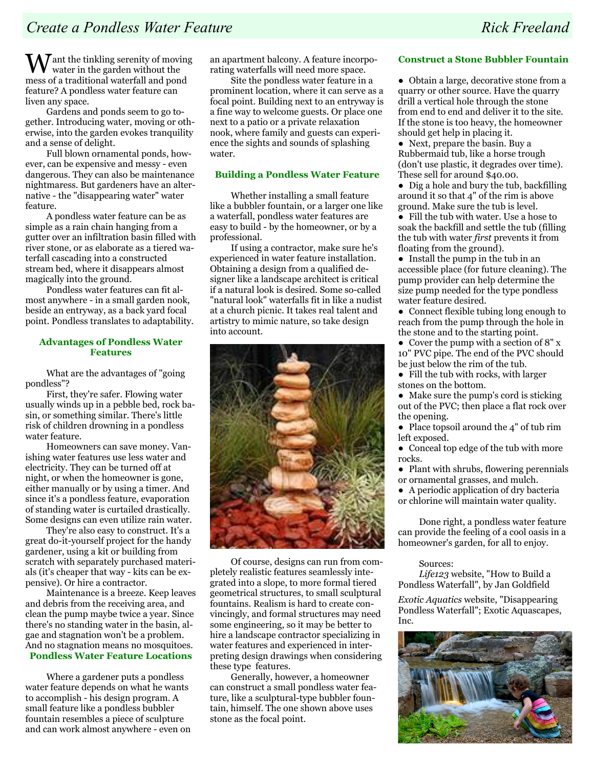$M$ ant the tinkling serenity of moving water in the garden without the mess of a traditional waterfall and pond feature? A pondless water feature can liven any space.

Gardens and ponds seem to go together. Introducing water, moving or otherwise, into the garden evokes tranquility and a sense of delight.

Full blown ornamental ponds, however, can be expensive and messy - even dangerous. They can also be maintenance nightmaress. But gardeners have an alternative - the "disappearing water" water feature.

A pondless water feature can be as simple as a rain chain hanging from a gutter over an infiltration basin filled with river stone, or as elaborate as a tiered waterfall cascading into a constructed stream bed, where it disappears almost magically into the ground.

Pondless water features can fit almost anywhere - in a small garden nook, beside an entryway, as a back yard focal point. Pondless translates to adaptability.

### Advantages of Pondless Water Features

What are the advantages of "going pondless"?

First, they're safer. Flowing water usually winds up in a pebble bed, rock basin, or something similar. There's little risk of children drowning in a pondless water feature.

Homeowners can save money. Vanishing water features use less water and electricity. They can be turned off at night, or when the homeowner is gone, either manually or by using a timer. And since it's a pondless feature, evaporation of standing water is curtailed drastically. Some designs can even utilize rain water.

They're also easy to construct. It's a great do-it-yourself project for the handy gardener, using a kit or building from scratch with separately purchased materials (it's cheaper that way - kits can be expensive). Or hire a contractor.

Maintenance is a breeze. Keep leaves and debris from the receiving area, and clean the pump maybe twice a year. Since there's no standing water in the basin, algae and stagnation won't be a problem. And no stagnation means no mosquitoes.

### Pondless Water Feature Locations

Where a gardener puts a pondless water feature depends on what he wants to accomplish - his design program. A small feature like a pondless bubbler fountain resembles a piece of sculpture and can work almost anywhere - even on an apartment balcony. A feature incorporating waterfalls will need more space.

Site the pondless water feature in a prominent location, where it can serve as a focal point. Building next to an entryway is a fine way to welcome guests. Or place one next to a patio or a private relaxation nook, where family and guests can experience the sights and sounds of splashing water.

### Building a Pondless Water Feature

Whether installing a small feature like a bubbler fountain, or a larger one like a waterfall, pondless water features are easy to build - by the homeowner, or by a professional.

If using a contractor, make sure he's experienced in water feature installation. Obtaining a design from a qualified designer like a landscape architect is critical if a natural look is desired. Some so-called "natural look" waterfalls fit in like a nudist at a church picnic. It takes real talent and artistry to mimic nature, so take design into account.



Of course, designs can run from completely realistic features seamlessly integrated into a slope, to more formal tiered geometrical structures, to small sculptural fountains. Realism is hard to create convincingly, and formal structures may need some engineering, so it may be better to hire a landscape contractor specializing in water features and experienced in interpreting design drawings when considering these type features.

Generally, however, a homeowner can construct a small pondless water feature, like a sculptural-type bubbler fountain, himself. The one shown above uses stone as the focal point.

### Construct a Stone Bubbler Fountain

● Obtain a large, decorative stone from a quarry or other source. Have the quarry drill a vertical hole through the stone from end to end and deliver it to the site. If the stone is too heavy, the homeowner should get help in placing it.

● Next, prepare the basin. Buy a Rubbermaid tub, like a horse trough (don't use plastic, it degrades over time). These sell for around \$40.00.

● Dig a hole and bury the tub, backfilling around it so that 4" of the rim is above ground. Make sure the tub is level.

● Fill the tub with water. Use a hose to soak the backfill and settle the tub (filling the tub with water first prevents it from floating from the ground).

● Install the pump in the tub in an accessible place (for future cleaning). The pump provider can help determine the size pump needed for the type pondless water feature desired.

- Connect flexible tubing long enough to reach from the pump through the hole in the stone and to the starting point.
- Cover the pump with a section of  $8" x$ 10" PVC pipe. The end of the PVC should be just below the rim of the tub.

● Fill the tub with rocks, with larger stones on the bottom.

● Make sure the pump's cord is sticking out of the PVC; then place a flat rock over the opening.

• Place topsoil around the 4" of tub rim left exposed.

● Conceal top edge of the tub with more rocks.

● Plant with shrubs, flowering perennials or ornamental grasses, and mulch.

● A periodic application of dry bacteria or chlorine will maintain water quality.

Done right, a pondless water feature can provide the feeling of a cool oasis in a homeowner's garden, for all to enjoy.

### Sources:

Life123 website, "How to Build a Pondless Waterfall", by Jan Goldfield

Exotic Aquatics website, "Disappearing Pondless Waterfall"; Exotic Aquascapes, Inc.